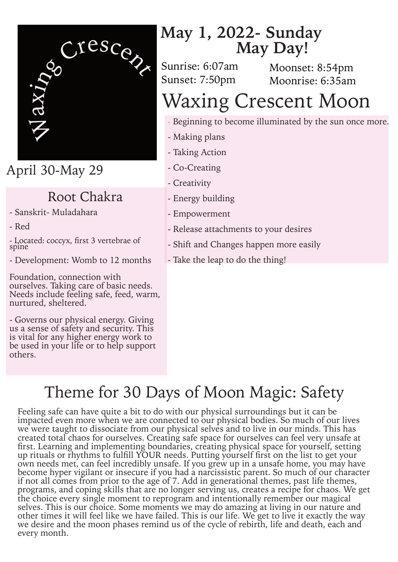

### April 30-May 29

### Root Chakra

- Sanskrit- Muladahara
- Red

- Located: coccyx, first 3 vertebrae of spine

- Development: Womb to 12 months

Foundation, connection with ourselves. Taking care of basic needs. Needs include feeling safe, feed, warm, nurtured, sheltered.

- Governs our physical energy. Giving us a sense of safety and security. This is vital for any higher energy work to be used in your life or to help support others.

## **May 1, 2022- Sunday May Day!**

Sunrise: 6:07am Sunset: 7:50pm

Moonset: 8:54pm Moonrise: 6:35am

# Waxing Crescent Moon

- Beginning to become illuminated by the sun once more.
- Making plans
- Taking Action
- Co-Creating
- Creativity
- Energy building
- Empowerment
- Release attachments to your desires
- Shift and Changes happen more easily
- Take the leap to do the thing!

# Theme for 30 Days of Moon Magic: Safety

Feeling safe can have quite a bit to do with our physical surroundings but it can be impacted even more when we are connected to our physical bodies. So much of our lives we were taught to dissociate from our physical selves and to live in our minds. This has created total chaos for ourselves. Creating safe space for ourselves can feel very unsafe at first. Learning and implementing boundaries, creating physical space for yourself, setting up rituals or rhythms to fulfill YOUR needs. Putting yourself first on the list to get your own needs met, can feel incredibly unsafe. If you grew up in a unsafe home, you may have become hyper vigilant or insecure if you had a narcissistic parent. So much of our character if not all comes from prior to the age of 7. Add in generational themes, past life themes, programs, and coping skills that are no longer serving us, creates a recipe for chaos. We get the choice every single moment to reprogram and intentionally remember our magical selves. This is our choice. Some moments we may do amazing at living in our nature and other times it will feel like we have failed. This is our life. We get to live it exactly the way we desire and the moon phases remind us of the cycle of rebirth, life and death, each and every month.